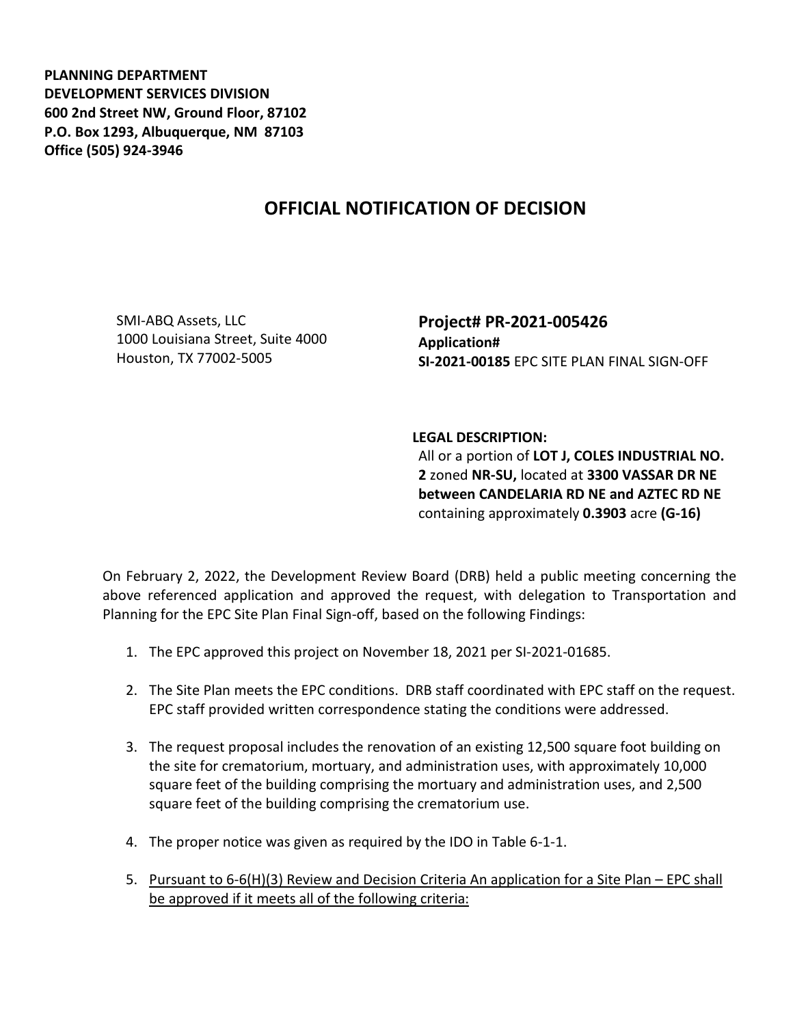**PLANNING DEPARTMENT DEVELOPMENT SERVICES DIVISION 600 2nd Street NW, Ground Floor, 87102 P.O. Box 1293, Albuquerque, NM 87103 Office (505) 924-3946** 

## **OFFICIAL NOTIFICATION OF DECISION**

SMI-ABQ Assets, LLC 1000 Louisiana Street, Suite 4000 Houston, TX 77002-5005

**Project# PR-2021-005426 Application# SI-2021-00185** EPC SITE PLAN FINAL SIGN-OFF

## **LEGAL DESCRIPTION:**

All or a portion of **LOT J, COLES INDUSTRIAL NO. 2** zoned **NR-SU,** located at **3300 VASSAR DR NE between CANDELARIA RD NE and AZTEC RD NE**  containing approximately **0.3903** acre **(G-16)**

On February 2, 2022, the Development Review Board (DRB) held a public meeting concerning the above referenced application and approved the request, with delegation to Transportation and Planning for the EPC Site Plan Final Sign-off, based on the following Findings:

- 1. The EPC approved this project on November 18, 2021 per SI-2021-01685.
- 2. The Site Plan meets the EPC conditions. DRB staff coordinated with EPC staff on the request. EPC staff provided written correspondence stating the conditions were addressed.
- 3. The request proposal includes the renovation of an existing 12,500 square foot building on the site for crematorium, mortuary, and administration uses, with approximately 10,000 square feet of the building comprising the mortuary and administration uses, and 2,500 square feet of the building comprising the crematorium use.
- 4. The proper notice was given as required by the IDO in Table 6-1-1.
- 5. Pursuant to 6-6(H)(3) Review and Decision Criteria An application for a Site Plan EPC shall be approved if it meets all of the following criteria: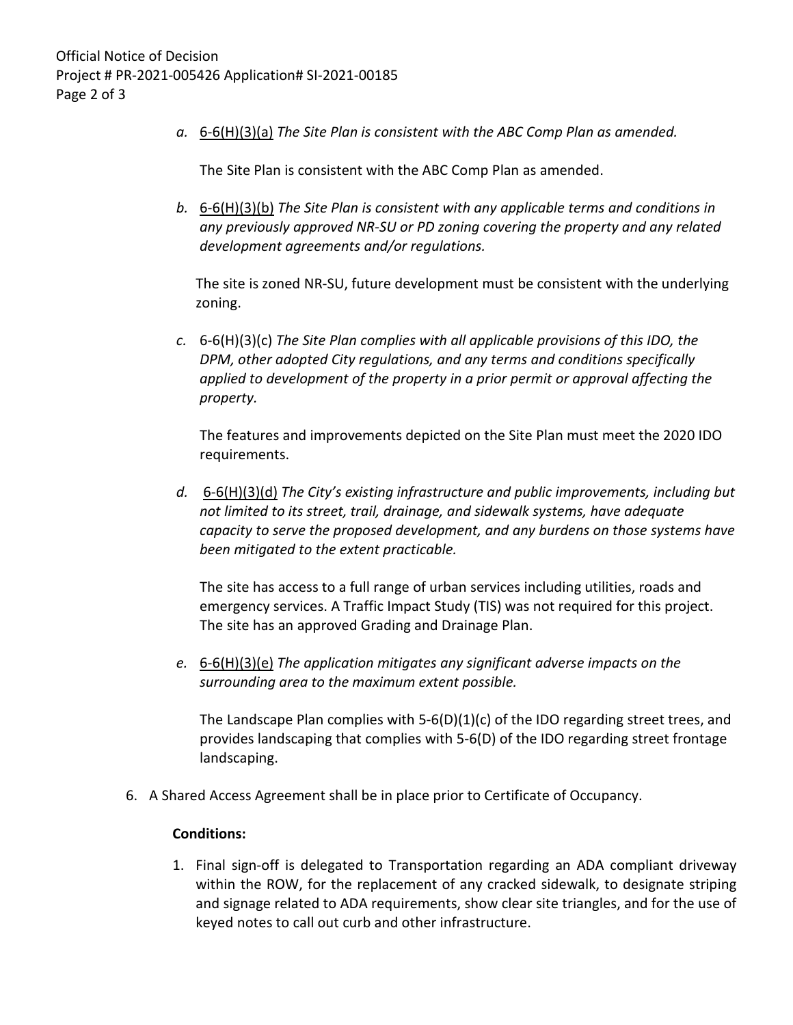*a.* 6-6(H)(3)(a) *The Site Plan is consistent with the ABC Comp Plan as amended.*

The Site Plan is consistent with the ABC Comp Plan as amended.

*b.* 6-6(H)(3)(b) *The Site Plan is consistent with any applicable terms and conditions in any previously approved NR-SU or PD zoning covering the property and any related development agreements and/or regulations.* 

The site is zoned NR-SU, future development must be consistent with the underlying zoning.

*c.* 6-6(H)(3)(c) *The Site Plan complies with all applicable provisions of this IDO, the DPM, other adopted City regulations, and any terms and conditions specifically applied to development of the property in a prior permit or approval affecting the property.* 

The features and improvements depicted on the Site Plan must meet the 2020 IDO requirements.

*d.* 6-6(H)(3)(d) *The City's existing infrastructure and public improvements, including but not limited to its street, trail, drainage, and sidewalk systems, have adequate capacity to serve the proposed development, and any burdens on those systems have been mitigated to the extent practicable.* 

The site has access to a full range of urban services including utilities, roads and emergency services. A Traffic Impact Study (TIS) was not required for this project. The site has an approved Grading and Drainage Plan.

*e.* 6-6(H)(3)(e) *The application mitigates any significant adverse impacts on the surrounding area to the maximum extent possible.* 

The Landscape Plan complies with  $5-6(D)(1)(c)$  of the IDO regarding street trees, and provides landscaping that complies with 5-6(D) of the IDO regarding street frontage landscaping.

6. A Shared Access Agreement shall be in place prior to Certificate of Occupancy.

## **Conditions:**

1. Final sign-off is delegated to Transportation regarding an ADA compliant driveway within the ROW, for the replacement of any cracked sidewalk, to designate striping and signage related to ADA requirements, show clear site triangles, and for the use of keyed notes to call out curb and other infrastructure.